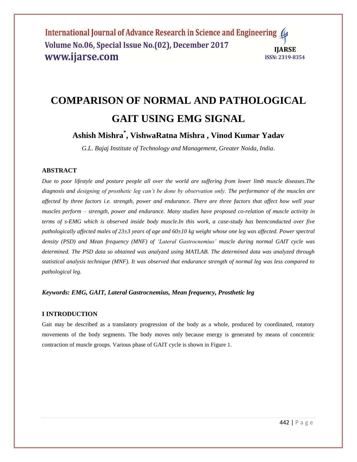# **COMPARISON OF NORMAL AND PATHOLOGICAL GAIT USING EMG SIGNAL**

**Ashish Mishra\* , VishwaRatna Mishra , Vinod Kumar Yadav**

*G.L. Bajaj Institute of Technology and Management, Greater Noida, India*.

# **ABSTRACT**

*Due to poor lifestyle and posture people all over the world are suffering from lower limb muscle diseases.The diagnosis and designing of prosthetic leg can't be done by observation only. The performance of the muscles are affected by three factors i.e. strength, power and endurance. There are three factors that affect how well your muscles perform – strength, power and endurance. Many studies have proposed co-relation of muscle activity in terms of s-EMG which is observed inside body muscle.In this work, a case-study has beenconducted over five pathologically affected males of 23±3 years of age and 60±10 kg weight whose one leg was affected. Power spectral density (PSD) and Mean frequency (MNF) of 'Lateral Gastrocnemius' muscle during normal GAIT cycle was determined. The PSD data so obtained was analyzed using MATLAB. The determined data was analyzed through statistical analysis technique (MNF). It was observed that endurance strength of normal leg was less compared to pathological leg.*

# *Keywords: EMG, GAIT, Lateral Gastrocnemius, Mean frequency, Prosthetic leg*

# **I INTRODUCTION**

Gait may be described as a translatory progression of the body as a whole, produced by coordinated, rotatory movements of the body segments. The body moves only because energy is generated by means of concentric contraction of muscle groups. Various phase of GAIT cycle is shown in Figure 1.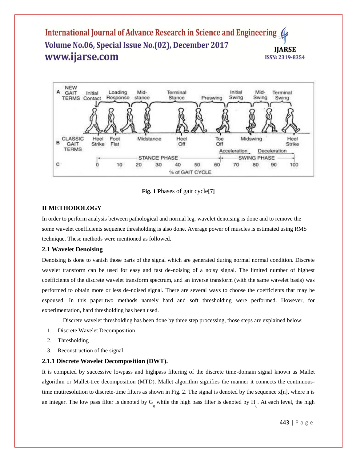

**Fig. 1 P**hases of gait cycle**[7]**

# **II METHODOLOGY**

In order to perform analysis between pathological and normal leg, wavelet denoising is done and to remove the some wavelet coefficients sequence thresholding is also done. Average power of muscles is estimated using RMS technique. These methods were mentioned as followed.

# **2.1 Wavelet Denoising**

Denoising is done to vanish those parts of the signal which are generated during normal normal condition. Discrete wavelet transform can be used for easy and fast de-noising of a noisy signal. The limited number of highest coefficients of the discrete wavelet transform spectrum, and an inverse transform (with the same wavelet basis) was performed to obtain more or less de-noised signal. There are several ways to choose the coefficients that may be espoused. In this paper,two methods namely hard and soft thresholding were performed. However, for experimentation, hard thresholding has been used.

Discrete wavelet thresholding has been done by three step processing, those steps are explained below:

- 1. Discrete Wavelet Decomposition
- 2. Thresholding
- 3. Reconstruction of the signal

#### **2.1.1 Discrete Wavelet Decomposition (DWT).**

It is computed by successive lowpass and highpass filtering of the discrete time-domain signal known as Mallet algorithm or Mallet-tree decomposition (MTD). Mallet algorithm signifies the manner it connects the continuoustime mutiresolution to discrete-time filters as shown in Fig. 2. The signal is denoted by the sequence  $x[n]$ , where n is an integer. The low pass filter is denoted by  $G_0$  while the high pass filter is denoted by  $H_0$ . At each level, the high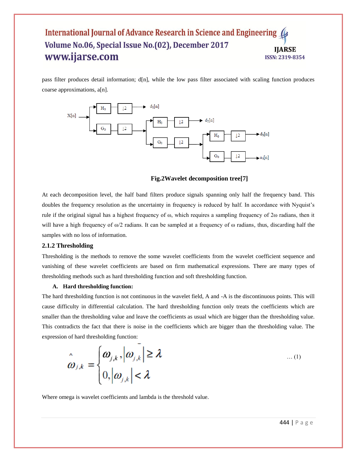pass filter produces detail information; d[n], while the low pass filter associated with scaling function produces coarse approximations, a[n].



#### **Fig.2Wavelet decomposition tree[7]**

At each decomposition level, the half band filters produce signals spanning only half the frequency band. This doubles the frequency resolution as the uncertainty in frequency is reduced by half. In accordance with Nyquist's rule if the original signal has a highest frequency of ω, which requires a sampling frequency of 2ω radians, then it will have a high frequency of  $\omega/2$  radians. It can be sampled at a frequency of  $\omega$  radians, thus, discarding half the samples with no loss of information.

#### **2.1.2 Thresholding**

Thresholding is the methods to remove the some wavelet coefficients from the wavelet coefficient sequence and vanishing of these wavelet coefficients are based on firm mathematical expressions. There are many types of thresholding methods such as hard thresholding function and soft thresholding function.

#### **A. Hard thresholding function:**

The hard thresholding function is not continuous in the wavelet field, A and -A is the discontinuous points. This will cause difficulty in differential calculation. The hard thresholding function only treats the coefficients which are smaller than the thresholding value and leave the coefficients as usual which are bigger than the thresholding value. This contradicts the fact that there is noise in the coefficients which are bigger than the thresholding value. The expression of hard thresholding function:

$$
\hat{\boldsymbol{\omega}}_{j,k} = \begin{cases} \boldsymbol{\omega}_{j,k}, |\boldsymbol{\omega}_{j,k}| \ge \lambda \\ 0, |\boldsymbol{\omega}_{j,k}| < \lambda \end{cases} \qquad \qquad \dots (1)
$$

Where omega is wavelet coefficients and lambda is the threshold value.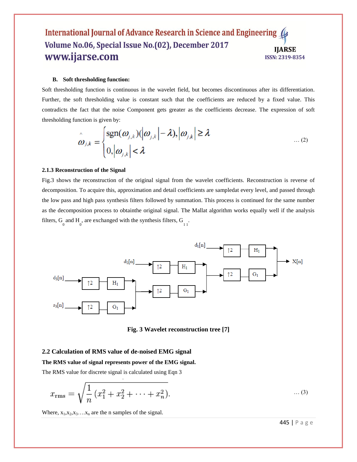#### **B. Soft thresholding function:**

Soft thresholding function is continuous in the wavelet field, but becomes discontinuous after its differentiation. Further, the soft thresholding value is constant such that the coefficients are reduced by a fixed value. This contradicts the fact that the noise Component gets greater as the coefficients decrease. The expression of soft thresholding function is given by:

$$
\hat{\boldsymbol{\omega}}_{j,k} = \begin{cases} \text{sgn}(\boldsymbol{\omega}_{j,k})(|\boldsymbol{\omega}_{j,k}| - \lambda), |\boldsymbol{\omega}_{j,k}| \geq \lambda \\ 0, |\boldsymbol{\omega}_{j,k}| < \lambda \end{cases} \tag{2}
$$

#### **2.1.3 Reconstruction of the Signal**

Fig.3 shows the reconstruction of the original signal from the wavelet coefficients. Reconstruction is reverse of decomposition. To acquire this, approximation and detail coefficients are sampledat every level, and passed through the low pass and high pass synthesis filters followed by summation. This process is continued for the same number as the decomposition process to obtainthe original signal. The Mallat algorithm works equally well if the analysis filters,  $G_0$  and  $H_0$ , are exchanged with the synthesis filters,  $G_1$ .



**Fig. 3 Wavelet reconstruction tree [7]**

#### **2.2 Calculation of RMS value of de-noised EMG signal**

**The RMS value of signal represents power of the EMG signal.**

The RMS value for discrete signal is calculated using Eqn 3

$$
x_{\rm rms} = \sqrt{\frac{1}{n} (x_1^2 + x_2^2 + \dots + x_n^2)}.
$$
 (3)

Where,  $x_1, x_2, x_3, \ldots, x_n$  are the n samples of the signal.

445 | P a g e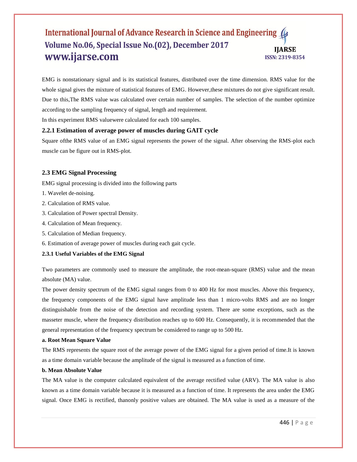EMG is nonstationary signal and is its statistical features, distributed over the time dimension. RMS value for the whole signal gives the mixture of statistical features of EMG. However,these mixtures do not give significant result. Due to this,The RMS value was calculated over certain number of samples. The selection of the number optimize according to the sampling frequency of signal, length and requirement.

In this experiment RMS valuewere calculated for each 100 samples.

# **2.2.1 Estimation of average power of muscles during GAIT cycle**

Square ofthe RMS value of an EMG signal represents the power of the signal. After observing the RMS-plot each muscle can be figure out in RMS-plot.

#### **2.3 EMG Signal Processing**

EMG signal processing is divided into the following parts

- 1. Wavelet de-noising.
- 2. Calculation of RMS value.
- 3. Calculation of Power spectral Density.
- 4. Calculation of Mean frequency.
- 5. Calculation of Median frequency.
- 6. Estimation of average power of muscles during each gait cycle.

#### **2.3.1 Useful Variables of the EMG Signal**

Two parameters are commonly used to measure the amplitude, the root-mean-square (RMS) value and the mean absolute (MA) value.

The power density spectrum of the EMG signal ranges from 0 to 400 Hz for most muscles. Above this frequency, the frequency components of the EMG signal have amplitude less than 1 micro-volts RMS and are no longer distinguishable from the noise of the detection and recording system. There are some exceptions, such as the masseter muscle, where the frequency distribution reaches up to 600 Hz. Consequently, it is recommended that the general representation of the frequency spectrum be considered to range up to 500 Hz.

#### **a. Root Mean Square Value**

The RMS represents the square root of the average power of the EMG signal for a given period of time.It is known as a time domain variable because the amplitude of the signal is measured as a function of time.

#### **b. Mean Absolute Value**

The MA value is the computer calculated equivalent of the average rectified value (ARV). The MA value is also known as a time domain variable because it is measured as a function of time. It represents the area under the EMG signal. Once EMG is rectified, thanonly positive values are obtained. The MA value is used as a measure of the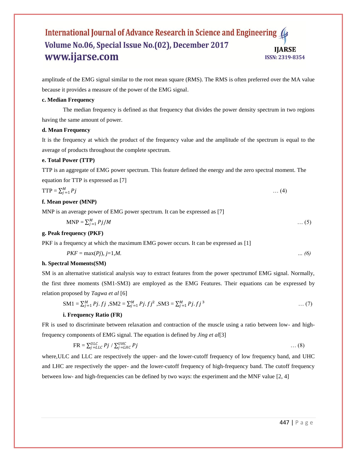amplitude of the EMG signal similar to the root mean square (RMS). The RMS is often preferred over the MA value because it provides a measure of the power of the EMG signal.

#### **c. Median Frequency**

The median frequency is defined as that frequency that divides the power density spectrum in two regions having the same amount of power.

#### **d. Mean Frequency**

It is the frequency at which the product of the frequency value and the amplitude of the spectrum is equal to the average of products throughout the complete spectrum.

#### **e. Total Power (TTP)**

TTP is an aggregate of EMG power spectrum. This feature defined the energy and the zero spectral moment. The equation for TTP is expressed as [7]

$$
TTP = \sum_{j=1}^{M} Pj \qquad \qquad \dots (4)
$$

#### **f. Mean power (MNP)**

MNP is an average power of EMG power spectrum. It can be expressed as [7]

$$
MNP = \sum_{j=1}^{M} Pj/M \tag{5}
$$

#### **g. Peak frequency (PKF)**

PKF is a frequency at which the maximum EMG power occurs. It can be expressed as [1]

$$
PKF = \max(Pj), j=1,M.
$$

#### **h. Spectral Moments(SM)**

SM is an alternative statistical analysis way to extract features from the power spectrumof EMG signal. Normally, the first three moments (SM1-SM3) are employed as the EMG Features. Their equations can be expressed by relation proposed by *Tagwa et al* [6]

$$
SM1 = \sum_{j=1}^{M} Pj \cdot fj \quad , SM2 = \sum_{j=1}^{M} Pj \cdot fj^2 \quad , SM3 = \sum_{j=1}^{M} Pj \cdot fj^3 \quad \dots (7)
$$

#### **i. Frequency Ratio (FR)**

FR is used to discriminate between relaxation and contraction of the muscle using a ratio between low- and highfrequency components of EMG signal. The equation is defined by *Jing et al*[3]

$$
FR = \sum_{j=LLC}^{ULC} Pj / \sum_{j=LHC}^{UHC} Pj \tag{8}
$$

where,ULC and LLC are respectively the upper- and the lower-cutoff frequency of low frequency band, and UHC and LHC are respectively the upper- and the lower-cutoff frequency of high-frequency band. The cutoff frequency between low- and high-frequencies can be defined by two ways: the experiment and the MNF value [2, 4]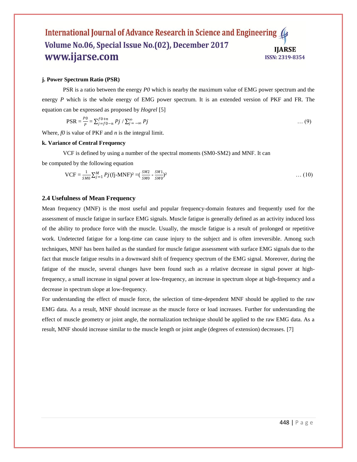#### **j. Power Spectrum Ratio (PSR)**

PSR is a ratio between the energy *P0* which is nearby the maximum value of EMG power spectrum and the energy *P* which is the whole energy of EMG power spectrum. It is an extended version of PKF and FR. The equation can be expressed as proposed by *Hogrel* [5]

$$
PSR = \frac{p_0}{p} = \sum_{j=f}^{f} 0 + n \cdot Pj / \sum_{j=-\infty}^{\infty} Pj
$$
 ... (9)

Where, *f0* is value of PKF and *n* is the integral limit.

#### **k. Variance of Central Frequency**

VCF is defined by using a number of the spectral moments (SM0-SM2) and MNF. It can

be computed by the following equation

$$
VCF = \frac{1}{SM} \sum_{j=1}^{M} Pj(fj-MNF)^{2} = (\frac{SM2}{SM} - \frac{SM1}{SM})^{2}
$$
 ... (10)

#### **2.4 Usefulness of Mean Frequency**

Mean frequency (MNF) is the most useful and popular frequency-domain features and frequently used for the assessment of muscle fatigue in surface EMG signals. Muscle fatigue is generally defined as an activity induced loss of the ability to produce force with the muscle. Usually, the muscle fatigue is a result of prolonged or repetitive work. Undetected fatigue for a long-time can cause injury to the subject and is often irreversible. Among such techniques, MNF has been hailed as the standard for muscle fatigue assessment with surface EMG signals due to the fact that muscle fatigue results in a downward shift of frequency spectrum of the EMG signal. Moreover, during the fatigue of the muscle, several changes have been found such as a relative decrease in signal power at highfrequency, a small increase in signal power at low-frequency, an increase in spectrum slope at high-frequency and a decrease in spectrum slope at low-frequency.

For understanding the effect of muscle force, the selection of time-dependent MNF should be applied to the raw EMG data. As a result, MNF should increase as the muscle force or load increases. Further for understanding the effect of muscle geometry or joint angle, the normalization technique should be applied to the raw EMG data. As a result, MNF should increase similar to the muscle length or joint angle (degrees of extension) decreases. [7]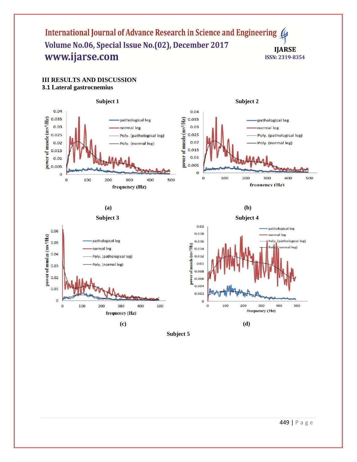# **III RESULTS AND DISCUSSION 3.1 Lateral gastrocnemius**



**(a)**



 **(c) (d)**

**(b) Subject 4**



**Subject 5**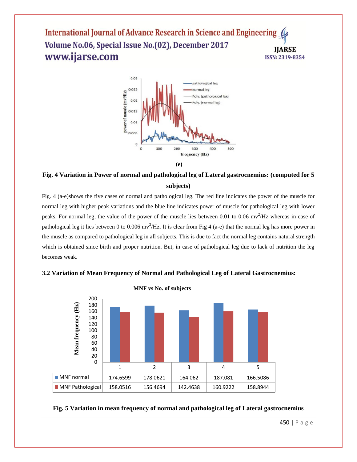

# **Fig. 4 Variation in Power of normal and pathological leg of Lateral gastrocnemius: (computed for 5 subjects)**

Fig. 4 (a-e)shows the five cases of normal and pathological leg. The red line indicates the power of the muscle for normal leg with higher peak variations and the blue line indicates power of muscle for pathological leg with lower peaks. For normal leg, the value of the power of the muscle lies between 0.01 to 0.06 m $v^2$ /Hz whereas in case of pathological leg it lies between 0 to 0.006 mv<sup>2</sup>/Hz. It is clear from Fig 4 (a-e) that the normal leg has more power in the muscle as compared to pathological leg in all subjects. This is due to fact the normal leg contains natural strength which is obtained since birth and proper nutrition. But, in case of pathological leg due to lack of nutrition the leg becomes weak.



# **3.2 Variation of Mean Frequency of Normal and Pathological Leg of Lateral Gastrocnemius:**

# **Fig. 5 Variation in mean frequency of normal and pathological leg of Lateral gastrocnemius**